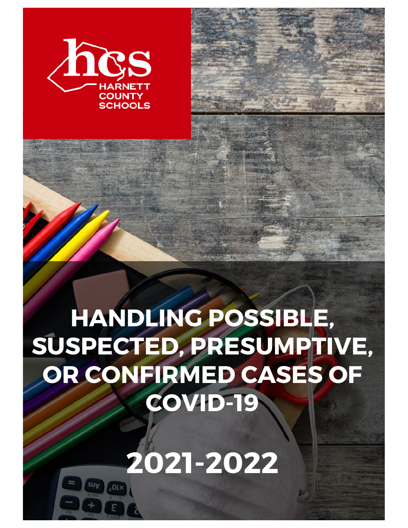

# **HANDLING POSSIBLE, SUSPECTED, PRESUMPTIVE, OR CONFIRMED CASES OF COVID-19**

**2021-2022**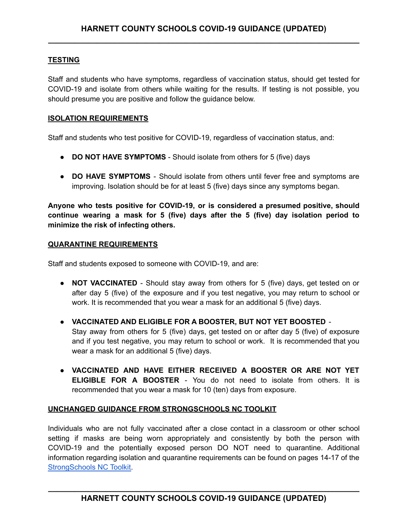### **TESTING**

Staff and students who have symptoms, regardless of vaccination status, should get tested for COVID-19 and isolate from others while waiting for the results. If testing is not possible, you should presume you are positive and follow the guidance below.

#### **ISOLATION REQUIREMENTS**

Staff and students who test positive for COVID-19, regardless of vaccination status, and:

- **DO NOT HAVE SYMPTOMS** Should isolate from others for 5 (five) days
- **DO HAVE SYMPTOMS** Should isolate from others until fever free and symptoms are improving. Isolation should be for at least 5 (five) days since any symptoms began.

**Anyone who tests positive for COVID-19, or is considered a presumed positive, should continue wearing a mask for 5 (five) days after the 5 (five) day isolation period to minimize the risk of infecting others.**

#### **QUARANTINE REQUIREMENTS**

Staff and students exposed to someone with COVID-19, and are:

- **NOT VACCINATED** Should stay away from others for 5 (five) days, get tested on or after day 5 (five) of the exposure and if you test negative, you may return to school or work. It is recommended that you wear a mask for an additional 5 (five) days.
- **VACCINATED AND ELIGIBLE FOR A BOOSTER, BUT NOT YET BOOSTED** Stay away from others for 5 (five) days, get tested on or after day 5 (five) of exposure and if you test negative, you may return to school or work. It is recommended that you wear a mask for an additional 5 (five) days.
- **VACCINATED AND HAVE EITHER RECEIVED A BOOSTER OR ARE NOT YET ELIGIBLE FOR A BOOSTER** - You do not need to isolate from others. It is recommended that you wear a mask for 10 (ten) days from exposure.

#### **UNCHANGED GUIDANCE FROM STRONGSCHOOLS NC TOOLKIT**

Individuals who are not fully vaccinated after a close contact in a classroom or other school setting if masks are being worn appropriately and consistently by both the person with COVID-19 and the potentially exposed person DO NOT need to quarantine. Additional information regarding isolation and quarantine requirements can be found on pages 14-17 of the [StrongSchools](https://covid19.ncdhhs.gov/media/164/open) NC Toolkit.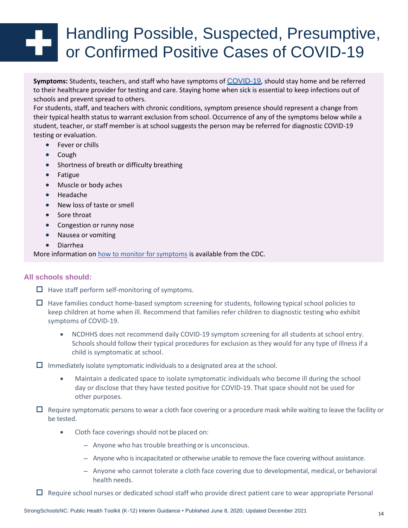# Handling Possible, Suspected, Presumptive, or Confirmed Positive Cases of COVID-19

**Symptoms:** Students, teachers, and staff who have symptoms of COVID-19, should stay home and be referred to their healthcare provider for testing and care. Staying home when sick is essential to keep infections out of schools and prevent spread to others.

For students, staff, and teachers with chronic conditions, symptom presence should represent a change from their typical health status to warrant exclusion from school. Occurrence of any of the symptoms below while a student, teacher, or staff member is at school suggests the person may be referred for diagnostic COVID-19 testing or evaluation.

- Fever or chills
- Cough
- Shortness of breath or difficulty breathing
- Fatigue
- Muscle or body aches
- Headache
- New loss of taste or smell
- Sore throat
- Congestion or runny nose
- Nausea or vomiting
- Diarrhea

More information on how to monitor for symptoms is available from the CDC.

#### **All schools should:**

 $\Box$  Have staff perform self-monitoring of symptoms.

- $\Box$  Have families conduct home-based symptom screening for students, following typical school policies to keep children at home when ill. Recommend that families refer children to diagnostic testing who exhibit symptoms of COVID-19.
	- NCDHHS does not recommend daily COVID-19 symptom screening for all students at school entry. Schools should follow their typical procedures for exclusion as they would for any type of illness if a child is symptomatic at school.

 $\Box$  Immediately isolate symptomatic individuals to a designated area at the school.

- Maintain a dedicated space to isolate symptomatic individuals who become ill during the school day or disclose that they have tested positive for COVID-19. That space should not be used for other purposes.
- $\Box$  Require symptomatic persons to wear a cloth face covering or a procedure mask while waiting to leave the facility or be tested.
	- Cloth face coverings should not be placed on:
		- Anyone who has trouble breathing or is unconscious.
		- Anyone who is incapacitated or otherwise unable to remove the face covering without assistance.
		- Anyone who cannot tolerate a cloth face covering due to developmental, medical, or behavioral health needs.

 $\Box$  Require school nurses or dedicated school staff who provide direct patient care to wear appropriate Personal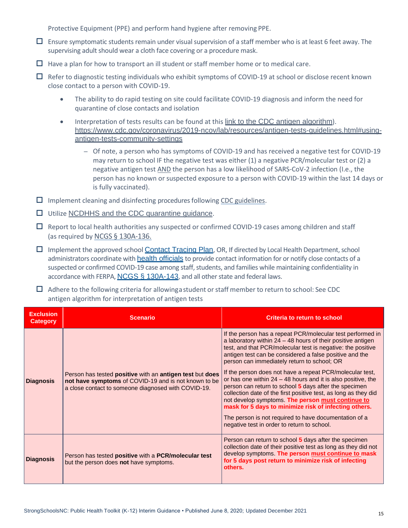Protective Equipment (PPE) and perform hand hygiene after removing PPE.

- $\Box$  Ensure symptomatic students remain under visual supervision of a staff member who is at least 6 feet away. The supervising adult should wear a cloth face covering or a procedure mask.
- $\Box$  Have a plan for how to transport an ill student or staff member home or to medical care.
- $\Box$  Refer to diagnostic testing individuals who exhibit symptoms of COVID-19 at school or disclose recent known close contact to a person with COVID-19.
	- The ability to do rapid testing on site could facilitate COVID-19 diagnosis and inform the need for quarantine of close contacts and isolation
	- Interpretation of tests results can be found at this link to the CDC antigen algorithm). https://www.cdc.gov/coronavirus/2019-ncov/lab/resources/antigen-tests-guidelines.html#usingantigen-tests-community-settings
		- Of note, a person who has symptoms of COVID-19 and has received a negative test for COVID-19 may return to school IF the negative test was either (1) a negative PCR/molecular test or (2) a negative antigen test AND the person has a low likelihood of SARS-CoV-2 infection (I.e., the person has no known or suspected exposure to a person with COVID-19 within the last 14 days or is fully vaccinated).
- $\Box$  Implement cleaning and disinfecting procedures following CDC guidelines.
- □ Utilize NCDHHS and the CDC quarantine quidance.
- $\Box$  Report to local health authorities any suspected or confirmed COVID-19 cases among children and staff (as required by NCGS § 130A-136.
- $\Box$  Implement the approved school Contact Tracing Plan, OR, If directed by Local Health Department, school administrators coordinate with health officials to provide contact information for or notify close contacts of a suspected or confirmed COVID-19 case among staff, students, and families while maintaining confidentiality in accordance with FERPA, NCGS § 130A-143, and all other state and federal laws.
- $\Box$  Adhere to the following criteria for allowinga student or staff member to return to school: See CDC antigen algorithm for interpretation of antigen tests

| <b>Exclusion</b><br><b>Category</b> | <b>Scenario</b>                                                                                                                                                         | <b>Criteria to return to school</b>                                                                                                                                                                                                                                                                                                                                                                                                                                                                                                                                                                                                                                                                                                                                                  |
|-------------------------------------|-------------------------------------------------------------------------------------------------------------------------------------------------------------------------|--------------------------------------------------------------------------------------------------------------------------------------------------------------------------------------------------------------------------------------------------------------------------------------------------------------------------------------------------------------------------------------------------------------------------------------------------------------------------------------------------------------------------------------------------------------------------------------------------------------------------------------------------------------------------------------------------------------------------------------------------------------------------------------|
| <b>Diagnosis</b>                    | Person has tested positive with an antigen test but does<br>not have symptoms of COVID-19 and is not known to be<br>a close contact to someone diagnosed with COVID-19. | If the person has a repeat PCR/molecular test performed in<br>a laboratory within $24 - 48$ hours of their positive antigen<br>test, and that PCR/molecular test is negative: the positive<br>antigen test can be considered a false positive and the<br>person can immediately return to school; OR<br>If the person does not have a repeat PCR/molecular test,<br>or has one within $24 - 48$ hours and it is also positive, the<br>person can return to school 5 days after the specimen<br>collection date of the first positive test, as long as they did<br>not develop symptoms. The person must continue to<br>mask for 5 days to minimize risk of infecting others.<br>The person is not required to have documentation of a<br>negative test in order to return to school. |
| <b>Diagnosis</b>                    | Person has tested positive with a PCR/molecular test<br>but the person does not have symptoms.                                                                          | Person can return to school 5 days after the specimen<br>collection date of their positive test as long as they did not<br>develop symptoms. The person must continue to mask<br>for 5 days post return to minimize risk of infecting<br>others.                                                                                                                                                                                                                                                                                                                                                                                                                                                                                                                                     |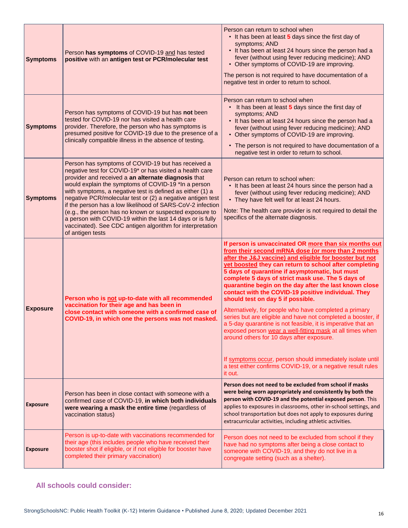| <b>Symptoms</b> | Person has symptoms of COVID-19 and has tested<br>positive with an antigen test or PCR/molecular test                                                                                                                                                                                                                                                                                                                                                                                                                                                                                                                           | Person can return to school when<br>• It has been at least 5 days since the first day of<br>symptoms; AND<br>• It has been at least 24 hours since the person had a<br>fever (without using fever reducing medicine); AND<br>• Other symptoms of COVID-19 are improving.<br>The person is not required to have documentation of a<br>negative test in order to return to school.                                                                                                                                                                                                                                                                                                                                                                                                                                                                                                                                                          |
|-----------------|---------------------------------------------------------------------------------------------------------------------------------------------------------------------------------------------------------------------------------------------------------------------------------------------------------------------------------------------------------------------------------------------------------------------------------------------------------------------------------------------------------------------------------------------------------------------------------------------------------------------------------|-------------------------------------------------------------------------------------------------------------------------------------------------------------------------------------------------------------------------------------------------------------------------------------------------------------------------------------------------------------------------------------------------------------------------------------------------------------------------------------------------------------------------------------------------------------------------------------------------------------------------------------------------------------------------------------------------------------------------------------------------------------------------------------------------------------------------------------------------------------------------------------------------------------------------------------------|
| <b>Symptoms</b> | Person has symptoms of COVID-19 but has not been<br>tested for COVID-19 nor has visited a health care<br>provider. Therefore, the person who has symptoms is<br>presumed positive for COVID-19 due to the presence of a<br>clinically compatible illness in the absence of testing.                                                                                                                                                                                                                                                                                                                                             | Person can return to school when<br>• It has been at least 5 days since the first day of<br>symptoms; AND<br>• It has been at least 24 hours since the person had a<br>fever (without using fever reducing medicine); AND<br>• Other symptoms of COVID-19 are improving.<br>• The person is not required to have documentation of a<br>negative test in order to return to school.                                                                                                                                                                                                                                                                                                                                                                                                                                                                                                                                                        |
| <b>Symptoms</b> | Person has symptoms of COVID-19 but has received a<br>negative test for COVID-19* or has visited a health care<br>provider and received a an alternate diagnosis that<br>would explain the symptoms of COVID-19 *In a person<br>with symptoms, a negative test is defined as either (1) a<br>negative PCR/molecular test or (2) a negative antigen test<br>if the person has a low likelihood of SARS-CoV-2 infection<br>(e.g., the person has no known or suspected exposure to<br>a person with COVID-19 within the last 14 days or is fully<br>vaccinated). See CDC antigen algorithm for interpretation<br>of antigen tests | Person can return to school when:<br>• It has been at least 24 hours since the person had a<br>fever (without using fever reducing medicine); AND<br>• They have felt well for at least 24 hours.<br>Note: The health care provider is not required to detail the<br>specifics of the alternate diagnosis.                                                                                                                                                                                                                                                                                                                                                                                                                                                                                                                                                                                                                                |
| <b>Exposure</b> | Person who is not up-to-date with all recommended<br>vaccination for their age and has been in<br>close contact with someone with a confirmed case of<br>COVID-19, in which one the persons was not masked.                                                                                                                                                                                                                                                                                                                                                                                                                     | If person is unvaccinated OR more than six months out<br>from their second mRNA dose (or more than 2 months<br>after the J&J vaccine) and eligible for booster but not<br>yet boosted they can return to school after completing<br>5 days of quarantine if asymptomatic, but must<br>complete 5 days of strict mask use. The 5 days of<br>quarantine begin on the day after the last known close<br>contact with the COVID-19 positive individual. They<br>should test on day 5 if possible.<br>Alternatively, for people who have completed a primary<br>series but are eligible and have not completed a booster, if<br>a 5-day quarantine is not feasible, it is imperative that an<br>exposed person wear a well-fitting mask at all times when<br>around others for 10 days after exposure.<br>If symptoms occur, person should immediately isolate until<br>a test either confirms COVID-19, or a negative result rules<br>it out. |
| <b>Exposure</b> | Person has been in close contact with someone with a<br>confirmed case of COVID-19, in which both individuals<br>were wearing a mask the entire time (regardless of<br>vaccination status)                                                                                                                                                                                                                                                                                                                                                                                                                                      | Person does not need to be excluded from school if masks<br>were being worn appropriately and consistently by both the<br>person with COVID-19 and the potential exposed person. This<br>applies to exposures in classrooms, other in-school settings, and<br>school transportation but does not apply to exposures during<br>extracurricular activities, including athletic activities.                                                                                                                                                                                                                                                                                                                                                                                                                                                                                                                                                  |
| <b>Exposure</b> | Person is up-to-date with vaccinations recommended for<br>their age (this includes people who have received their<br>booster shot if eligible, or if not eligible for booster have<br>completed their primary vaccination)                                                                                                                                                                                                                                                                                                                                                                                                      | Person does not need to be excluded from school if they<br>have had no symptoms after being a close contact to<br>someone with COVID-19, and they do not live in a<br>congregate setting (such as a shelter).                                                                                                                                                                                                                                                                                                                                                                                                                                                                                                                                                                                                                                                                                                                             |

## **All schools could consider:**